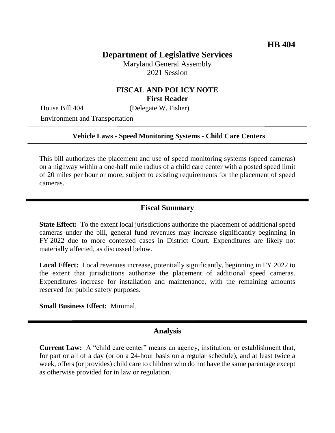# **Department of Legislative Services**

Maryland General Assembly 2021 Session

# **FISCAL AND POLICY NOTE First Reader**

House Bill 404 (Delegate W. Fisher)

Environment and Transportation

### **Vehicle Laws - Speed Monitoring Systems - Child Care Centers**

This bill authorizes the placement and use of speed monitoring systems (speed cameras) on a highway within a one-half mile radius of a child care center with a posted speed limit of 20 miles per hour or more, subject to existing requirements for the placement of speed cameras.

#### **Fiscal Summary**

**State Effect:** To the extent local jurisdictions authorize the placement of additional speed cameras under the bill, general fund revenues may increase significantly beginning in FY 2022 due to more contested cases in District Court. Expenditures are likely not materially affected, as discussed below.

**Local Effect:** Local revenues increase, potentially significantly, beginning in FY 2022 to the extent that jurisdictions authorize the placement of additional speed cameras. Expenditures increase for installation and maintenance, with the remaining amounts reserved for public safety purposes.

**Small Business Effect:** Minimal.

### **Analysis**

**Current Law:** A "child care center" means an agency, institution, or establishment that, for part or all of a day (or on a 24-hour basis on a regular schedule), and at least twice a week, offers (or provides) child care to children who do not have the same parentage except as otherwise provided for in law or regulation.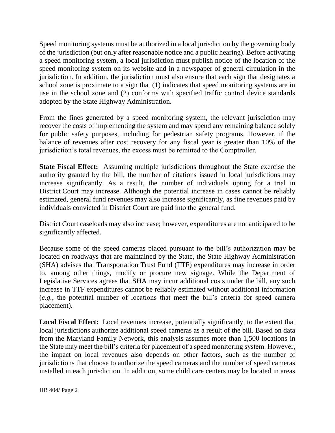Speed monitoring systems must be authorized in a local jurisdiction by the governing body of the jurisdiction (but only after reasonable notice and a public hearing). Before activating a speed monitoring system, a local jurisdiction must publish notice of the location of the speed monitoring system on its website and in a newspaper of general circulation in the jurisdiction. In addition, the jurisdiction must also ensure that each sign that designates a school zone is proximate to a sign that (1) indicates that speed monitoring systems are in use in the school zone and (2) conforms with specified traffic control device standards adopted by the State Highway Administration.

From the fines generated by a speed monitoring system, the relevant jurisdiction may recover the costs of implementing the system and may spend any remaining balance solely for public safety purposes, including for pedestrian safety programs. However, if the balance of revenues after cost recovery for any fiscal year is greater than 10% of the jurisdiction's total revenues, the excess must be remitted to the Comptroller.

**State Fiscal Effect:** Assuming multiple jurisdictions throughout the State exercise the authority granted by the bill, the number of citations issued in local jurisdictions may increase significantly. As a result, the number of individuals opting for a trial in District Court may increase. Although the potential increase in cases cannot be reliably estimated, general fund revenues may also increase significantly, as fine revenues paid by individuals convicted in District Court are paid into the general fund.

District Court caseloads may also increase; however, expenditures are not anticipated to be significantly affected.

Because some of the speed cameras placed pursuant to the bill's authorization may be located on roadways that are maintained by the State, the State Highway Administration (SHA) advises that Transportation Trust Fund (TTF) expenditures may increase in order to, among other things, modify or procure new signage. While the Department of Legislative Services agrees that SHA may incur additional costs under the bill, any such increase in TTF expenditures cannot be reliably estimated without additional information (*e.g.*, the potential number of locations that meet the bill's criteria for speed camera placement).

**Local Fiscal Effect:** Local revenues increase, potentially significantly, to the extent that local jurisdictions authorize additional speed cameras as a result of the bill. Based on data from the Maryland Family Network, this analysis assumes more than 1,500 locations in the State may meet the bill's criteria for placement of a speed monitoring system. However, the impact on local revenues also depends on other factors, such as the number of jurisdictions that choose to authorize the speed cameras and the number of speed cameras installed in each jurisdiction. In addition, some child care centers may be located in areas